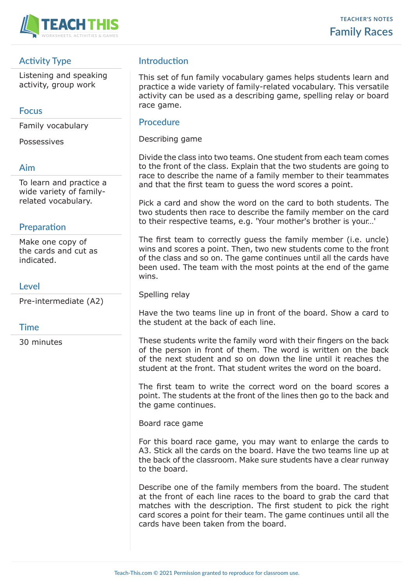

## **Activity Type**

Listening and speaking activity, group work

#### **Focus**

Family vocabulary

Possessives

### **Aim**

To learn and practice a wide variety of familyrelated vocabulary.

## **Preparation**

Make one copy of the cards and cut as indicated.

### **Level**

Pre-intermediate (A2)

#### **Time**

30 minutes

# **Introduction**

This set of fun family vocabulary games helps students learn and practice a wide variety of family-related vocabulary. This versatile activity can be used as a describing game, spelling relay or board race game.

#### **Procedure**

Describing game

Divide the class into two teams. One student from each team comes to the front of the class. Explain that the two students are going to race to describe the name of a family member to their teammates and that the first team to guess the word scores a point.

Pick a card and show the word on the card to both students. The two students then race to describe the family member on the card to their respective teams, e.g. 'Your mother's brother is your…'

The first team to correctly guess the family member (i.e. uncle) wins and scores a point. Then, two new students come to the front of the class and so on. The game continues until all the cards have been used. The team with the most points at the end of the game wins.

Spelling relay

Have the two teams line up in front of the board. Show a card to the student at the back of each line.

These students write the family word with their fingers on the back of the person in front of them. The word is written on the back of the next student and so on down the line until it reaches the student at the front. That student writes the word on the board.

The first team to write the correct word on the board scores a point. The students at the front of the lines then go to the back and the game continues.

Board race game

For this board race game, you may want to enlarge the cards to A3. Stick all the cards on the board. Have the two teams line up at the back of the classroom. Make sure students have a clear runway to the board.

Describe one of the family members from the board. The student at the front of each line races to the board to grab the card that matches with the description. The first student to pick the right card scores a point for their team. The game continues until all the cards have been taken from the board.